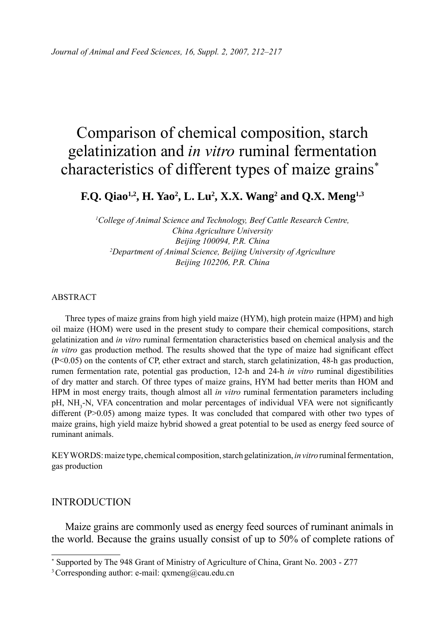# Comparison of chemical composition, starch gelatinization and *in vitro* ruminal fermentation characteristics of different types of maize grains\*

## **F.Q. Qiao<sup>1,2</sup>, H. Yao<sup>2</sup>, L. Lu<sup>2</sup>, X.X. Wang<sup>2</sup> and Q.X. Meng<sup>1,3</sup>**

<sup>1</sup>College of Animal Science and Technology, Beef Cattle Research Centre, *China Agriculture University Beijing 100094, P.R. China 2 Department of Animal Science, Beijing University of Agriculture Beijing 102206, P.R. China*

#### ABSTRACT

Three types of maize grains from high yield maize (HYM), high protein maize (HPM) and high oil maize (HOM) were used in the present study to compare their chemical compositions, starch gelatinization and *in vitro* ruminal fermentation characteristics based on chemical analysis and the *in vitro* gas production method. The results showed that the type of maize had significant effect (P<0.05) on the contents of CP, ether extract and starch, starch gelatinization, 48-h gas production, rumen fermentation rate, potential gas production, 12-h and 24-h *in vitro* ruminal digestibilities of dry matter and starch. Of three types of maize grains, HYM had better merits than HOM and HPM in most energy traits, though almost all *in vitro* ruminal fermentation parameters including pH, NH<sub>3</sub>-N, VFA concentration and molar percentages of individual VFA were not significantly different (P>0.05) among maize types. It was concluded that compared with other two types of maize grains, high yield maize hybrid showed a great potential to be used as energy feed source of ruminant animals.

KEY WORDS: maize type, chemical composition, starch gelatinization, *in vitro* ruminal fermentation, gas production

#### INTRODUCTION

Maize grains are commonly used as energy feed sources of ruminant animals in the world. Because the grains usually consist of up to 50% of complete rations of

<sup>\*</sup> Supported by The 948 Grant of Ministry of Agriculture of China, Grant No. 2003 - Z77

<sup>&</sup>lt;sup>3</sup> Corresponding author: e-mail: qxmeng@cau.edu.cn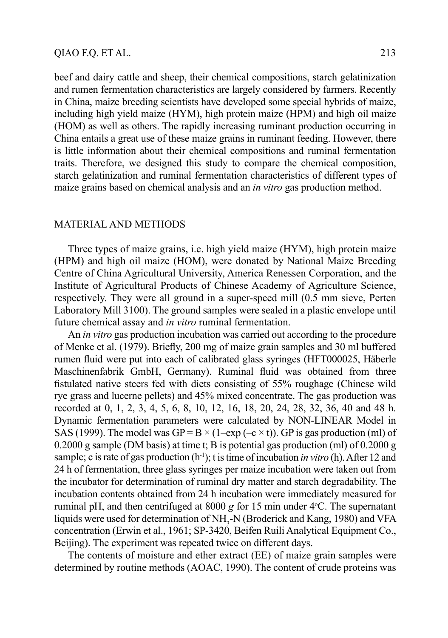beef and dairy cattle and sheep, their chemical compositions, starch gelatinization and rumen fermentation characteristics are largely considered by farmers. Recently in China, maize breeding scientists have developed some special hybrids of maize, including high yield maize (HYM), high protein maize (HPM) and high oil maize (HOM) as well as others. The rapidly increasing ruminant production occurring in China entails a great use of these maize grains in ruminant feeding. However, there is little information about their chemical compositions and ruminal fermentation traits. Therefore, we designed this study to compare the chemical composition, starch gelatinization and ruminal fermentation characteristics of different types of maize grains based on chemical analysis and an *in vitro* gas production method.

#### MATERIAL AND METHODS

Three types of maize grains, i.e. high yield maize (HYM), high protein maize (HPM) and high oil maize (HOM), were donated by National Maize Breeding Centre of China Agricultural University, America Renessen Corporation, and the Institute of Agricultural Products of Chinese Academy of Agriculture Science, respectively. They were all ground in a super-speed mill (0.5 mm sieve, Perten Laboratory Mill 3100). The ground samples were sealed in a plastic envelope until future chemical assay and *in vitro* ruminal fermentation.

An *in vitro* gas production incubation was carried out according to the procedure of Menke et al. (1979). Briefly, 200 mg of maize grain samples and 30 ml buffered rumen fluid were put into each of calibrated glass syringes (HFT000025, Häberle Maschinenfabrik GmbH, Germany). Ruminal fluid was obtained from three fistulated native steers fed with diets consisting of 55% roughage (Chinese wild rye grass and lucerne pellets) and 45% mixed concentrate. The gas production was recorded at 0, 1, 2, 3, 4, 5, 6, 8, 10, 12, 16, 18, 20, 24, 28, 32, 36, 40 and 48 h. Dynamic fermentation parameters were calculated by NON-LINEAR Model in SAS (1999). The model was GP = B  $\times$  (1–exp (–c  $\times$  t)). GP is gas production (ml) of 0.2000 g sample (DM basis) at time t; B is potential gas production (ml) of 0.2000 g sample; c is rate of gas production (h-1); t is time of incubation *in vitro* (h). After 12 and 24 h of fermentation, three glass syringes per maize incubation were taken out from the incubator for determination of ruminal dry matter and starch degradability. The incubation contents obtained from 24 h incubation were immediately measured for ruminal pH, and then centrifuged at  $8000 g$  for 15 min under  $4^{\circ}$ C. The supernatant liquids were used for determination of NH<sub>3</sub>-N (Broderick and Kang, 1980) and VFA concentration (Erwin et al., 1961; SP-3420, Beifen Ruili Analytical Equipment Co., Beijing). The experiment was repeated twice on different days.

The contents of moisture and ether extract (EE) of maize grain samples were determined by routine methods (AOAC, 1990). The content of crude proteins was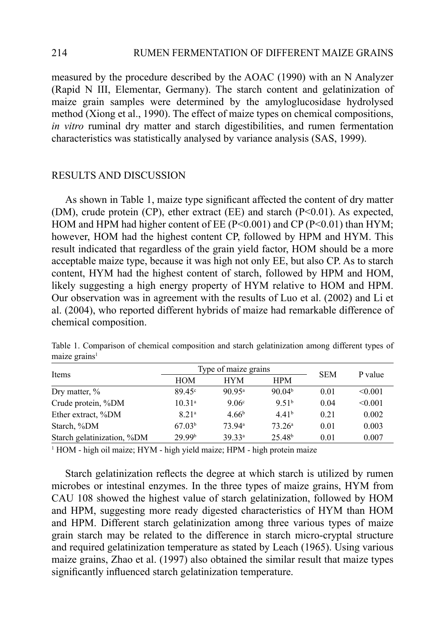### 214 RUMEN FERMENTATION OF DIFFERENT MAIZE GRAINS

measured by the procedure described by the AOAC (1990) with an N Analyzer (Rapid N III, Elementar, Germany). The starch content and gelatinization of maize grain samples were determined by the amyloglucosidase hydrolysed method (Xiong et al., 1990). The effect of maize types on chemical compositions, *in vitro* ruminal dry matter and starch digestibilities, and rumen fermentation characteristics was statistically analysed by variance analysis (SAS, 1999).

#### RESULTS AND DISCUSSION

As shown in Table 1, maize type significant affected the content of dry matter (DM), crude protein (CP), ether extract (EE) and starch (P<0.01). As expected, HOM and HPM had higher content of EE ( $P<0.001$ ) and CP ( $P<0.01$ ) than HYM; however, HOM had the highest content CP, followed by HPM and HYM. This result indicated that regardless of the grain yield factor, HOM should be a more acceptable maize type, because it was high not only EE, but also CP. As to starch content, HYM had the highest content of starch, followed by HPM and HOM, likely suggesting a high energy property of HYM relative to HOM and HPM. Our observation was in agreement with the results of Luo et al. (2002) and Li et al. (2004), who reported different hybrids of maize had remarkable difference of chemical composition.

|                            |                    | Type of maize grains | <b>SEM</b>         |      |         |
|----------------------------|--------------------|----------------------|--------------------|------|---------|
| Items                      | <b>HOM</b>         | <b>HYM</b>           | <b>HPM</b>         |      | P value |
| Dry matter, $\%$           | $89.45^{\circ}$    | 90 95 <sup>a</sup>   | 90.04 <sup>b</sup> | 0.01 | < 0.001 |
| Crude protein, %DM         | 10.31 <sup>a</sup> | $9.06^{\circ}$       | 9.51 <sup>b</sup>  | 0.04 | < 0.001 |
| Ether extract, %DM         | 8.21 <sup>a</sup>  | 4.66 <sup>b</sup>    | 4.41 <sup>b</sup>  | 0.21 | 0.002   |
| Starch, %DM                | 67.03 <sup>b</sup> | 73 94 <sup>a</sup>   | 73.26 <sup>a</sup> | 0.01 | 0.003   |
| Starch gelatinization, %DM | 29 99b             | 39.33ª               | 25.48 <sup>b</sup> | 0.01 | 0.007   |

Table 1. Comparison of chemical composition and starch gelatinization among different types of maize grains<sup>1</sup>

<sup>1</sup> HOM - high oil maize; HYM - high yield maize; HPM - high protein maize

Starch gelatinization reflects the degree at which starch is utilized by rumen microbes or intestinal enzymes. In the three types of maize grains, HYM from CAU 108 showed the highest value of starch gelatinization, followed by HOM and HPM, suggesting more ready digested characteristics of HYM than HOM and HPM. Different starch gelatinization among three various types of maize grain starch may be related to the difference in starch micro-cryptal structure and required gelatinization temperature as stated by Leach (1965). Using various maize grains, Zhao et al. (1997) also obtained the similar result that maize types significantly influenced starch gelatinization temperature.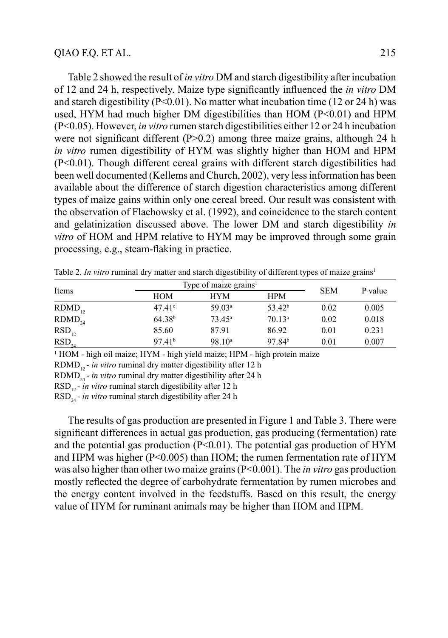Table 2 showed the result of *in vitro* DM and starch digestibility after incubation of 12 and 24 h, respectively. Maize type signifi cantly infl uenced the *in vitro* DM and starch digestibility ( $P \le 0.01$ ). No matter what incubation time (12 or 24 h) was used, HYM had much higher DM digestibilities than HOM (P<0.01) and HPM (P<0.05). However, *in vitro* rumen starch digestibilities either 12 or 24 h incubation were not significant different  $(P>0.2)$  among three maize grains, although 24 h *in vitro* rumen digestibility of HYM was slightly higher than HOM and HPM (P<0.01). Though different cereal grains with different starch digestibilities had been well documented (Kellems and Church, 2002), very less information has been available about the difference of starch digestion characteristics among different types of maize gains within only one cereal breed. Our result was consistent with the observation of Flachowsky et al. (1992), and coincidence to the starch content and gelatinization discussed above. The lower DM and starch digestibility *in vitro* of HOM and HPM relative to HYM may be improved through some grain processing, e.g., steam-flaking in practice.

| Items       |                    | Type of maize grains <sup>1</sup> |                    |            | P value |
|-------------|--------------------|-----------------------------------|--------------------|------------|---------|
|             | <b>HOM</b>         | <b>HYM</b>                        | <b>HPM</b>         | <b>SEM</b> |         |
| $RDMD_{12}$ | 47.41c             | 59.03 <sup>a</sup>                | 53.42 <sup>b</sup> | 0.02       | 0.005   |
| $RDMD_{24}$ | 64.38 <sup>b</sup> | $73.45^{\rm a}$                   | 70.13 <sup>a</sup> | 0.02       | 0.018   |
| $RSD_{12}$  | 85.60              | 87.91                             | 86.92              | 0.01       | 0.231   |
| $RSD_{24}$  | 97.41 <sup>b</sup> | 98.10 <sup>a</sup>                | 97.84 <sup>b</sup> | 0.01       | 0.007   |

Table 2. *In vitro* ruminal dry matter and starch digestibility of different types of maize grains<sup>1</sup>

<sup>1</sup> HOM - high oil maize; HYM - high yield maize; HPM - high protein maize

RDMD<sub>12</sub> - *in vitro* ruminal dry matter digestibility after 12 h

RDMD<sub>24</sub> - *in vitro* ruminal dry matter digestibility after 24 h

RSD<sub>12</sub> - *in vitro* ruminal starch digestibility after 12 h

RSD24 - *in vitro* ruminal starch digestibility after 24 h

The results of gas production are presented in Figure 1 and Table 3. There were significant differences in actual gas production, gas producing (fermentation) rate and the potential gas production  $(P<0.01)$ . The potential gas production of HYM and HPM was higher ( $P<0.005$ ) than HOM; the rumen fermentation rate of HYM was also higher than other two maize grains (P<0.001). The *in vitro* gas production mostly reflected the degree of carbohydrate fermentation by rumen microbes and the energy content involved in the feedstuffs. Based on this result, the energy value of HYM for ruminant animals may be higher than HOM and HPM.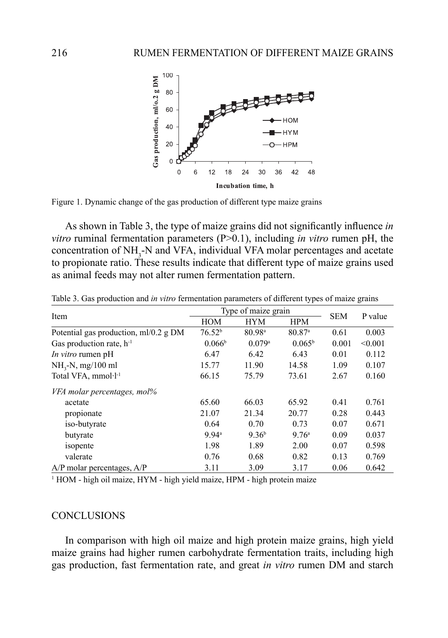

Figure 1. Dynamic change of the gas production of different type maize grains

As shown in Table 3, the type of maize grains did not significantly influence *in vitro* ruminal fermentation parameters (P>0.1), including *in vitro* rumen pH, the concentration of  $NH<sub>3</sub>$ -N and VFA, individual VFA molar percentages and acetate to propionate ratio. These results indicate that different type of maize grains used as animal feeds may not alter rumen fermentation pattern.

|                                       | Type of maize grain |                    |                    |            |         |
|---------------------------------------|---------------------|--------------------|--------------------|------------|---------|
| Item                                  | <b>HOM</b>          | <b>HYM</b>         | <b>HPM</b>         | <b>SEM</b> | P value |
| Potential gas production, ml/0.2 g DM | 76.52 <sup>b</sup>  | 80.98 <sup>a</sup> | 80.87 <sup>a</sup> | 0.61       | 0.003   |
| Gas production rate, $h^{-1}$         | 0.066 <sup>b</sup>  | 0.079a             | $0.065^{\rm b}$    | 0.001      | < 0.001 |
| <i>In vitro</i> rumen pH              | 6.47                | 6.42               | 6.43               | 0.01       | 0.112   |
| $NH3-N$ , mg/100 ml                   | 15.77               | 11.90              | 14.58              | 1.09       | 0.107   |
| Total VFA, mmol·l <sup>-1</sup>       | 66.15               | 75.79              | 73.61              | 2.67       | 0.160   |
| VFA molar percentages, mol%           |                     |                    |                    |            |         |
| acetate                               | 65.60               | 66.03              | 65.92              | 0.41       | 0.761   |
| propionate                            | 21.07               | 21.34              | 20.77              | 0.28       | 0.443   |
| iso-butyrate                          | 0.64                | 0.70               | 0.73               | 0.07       | 0.671   |
| butyrate                              | 9.94a               | 9.36 <sup>b</sup>  | 9.76 <sup>a</sup>  | 0.09       | 0.037   |
| isopente                              | 1.98                | 1.89               | 2.00               | 0.07       | 0.598   |
| valerate                              | 0.76                | 0.68               | 0.82               | 0.13       | 0.769   |
| $A/P$ molar percentages, $A/P$        | 3.11                | 3.09               | 3.17               | 0.06       | 0.642   |

Table 3. Gas production and *in vitro* fermentation parameters of different types of maize grains

<sup>1</sup> HOM - high oil maize, HYM - high yield maize, HPM - high protein maize

#### **CONCLUSIONS**

In comparison with high oil maize and high protein maize grains, high yield maize grains had higher rumen carbohydrate fermentation traits, including high gas production, fast fermentation rate, and great *in vitro* rumen DM and starch